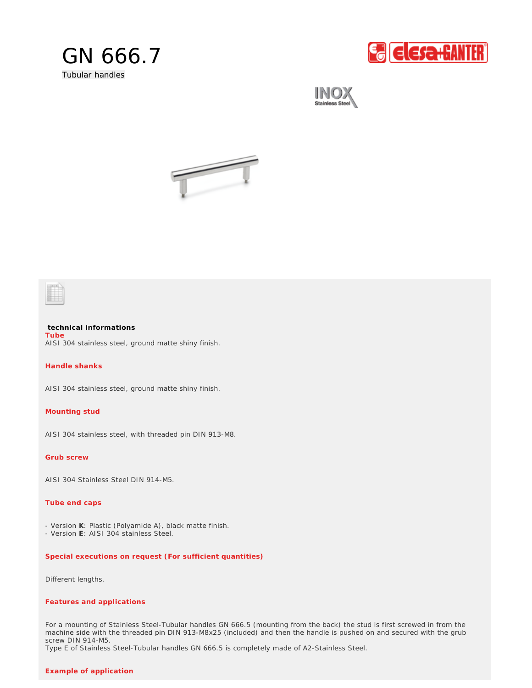

**E** Elesa+GANTER





**technical informations** AISI 304 stainless steel, ground matte shiny finish. **Tube** 

**Handle shanks**

AISI 304 stainless steel, ground matte shiny finish.

**Mounting stud** 

AISI 304 stainless steel, with threaded pin DIN 913-M8.

**Grub screw**

AISI 304 Stainless Steel DIN 914-M5.

## **Tube end caps**

- Version **K**: Plastic (Polyamide A), black matte finish.
- Version **E**: AISI 304 stainless Steel.

*Special executions on request (For sufficient quantities)*

Different lengths.

## *Features and applications*

For a mounting of Stainless Steel-Tubular handles GN 666.5 (mounting from the back) the stud is first screwed in from the machine side with the threaded pin DIN 913-M8x25 (included) and then the handle is pushed on and secured with the grub screw DIN 914-M5.

Type E of Stainless Steel-Tubular handles GN 666.5 is completely made of A2-Stainless Steel.